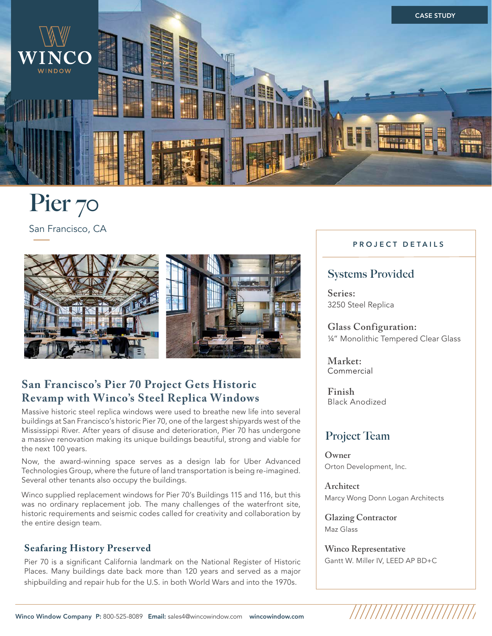

# **[Pier 70](https://wincowindow.com/project-galleries/pier-70)**

San Francisco, CA



## **San Francisco's Pier 70 Project Gets Historic Revamp with Winco's Steel Replica Windows**

Massive historic steel replica windows were used to breathe new life into several buildings at San Francisco's historic Pier 70, one of the largest shipyards west of the Mississippi River. After years of disuse and deterioration, Pier 70 has undergone a massive renovation making its unique buildings beautiful, strong and viable for the next 100 years.

Now, the award-winning space serves as a design lab for Uber Advanced Technologies Group, where the future of land transportation is being re-imagined. Several other tenants also occupy the buildings.

Winco supplied replacement windows for Pier 70's Buildings 115 and 116, but this was no ordinary replacement job. The many challenges of the waterfront site, historic requirements and seismic codes called for creativity and collaboration by the entire design team.

## **Seafaring History Preserved**

Pier 70 is a significant California landmark on the National Register of Historic Places. Many buildings date back more than 120 years and served as a major shipbuilding and repair hub for the U.S. in both World Wars and into the 1970s.

#### **PROJECT DETAILS**

## **Systems Provided**

**Series:**  [3250 Steel Replica](https://wincowindow.com/products/historic-replica/3250-steel-replica)

**Glass Configuration:**  ¼" Monolithic Tempered Clear Glass

**Market:**  [Commercial](https://wincowindow.com/products/commercial) 

**Finish** Black Anodized

## **Project Team**

**Owner** Orton Development, Inc.

**Architect** Marcy Wong Donn Logan Architects

**Glazing Contractor** Maz Glass

**Winco Representative** Gantt W. Miller IV, LEED AP BD+C